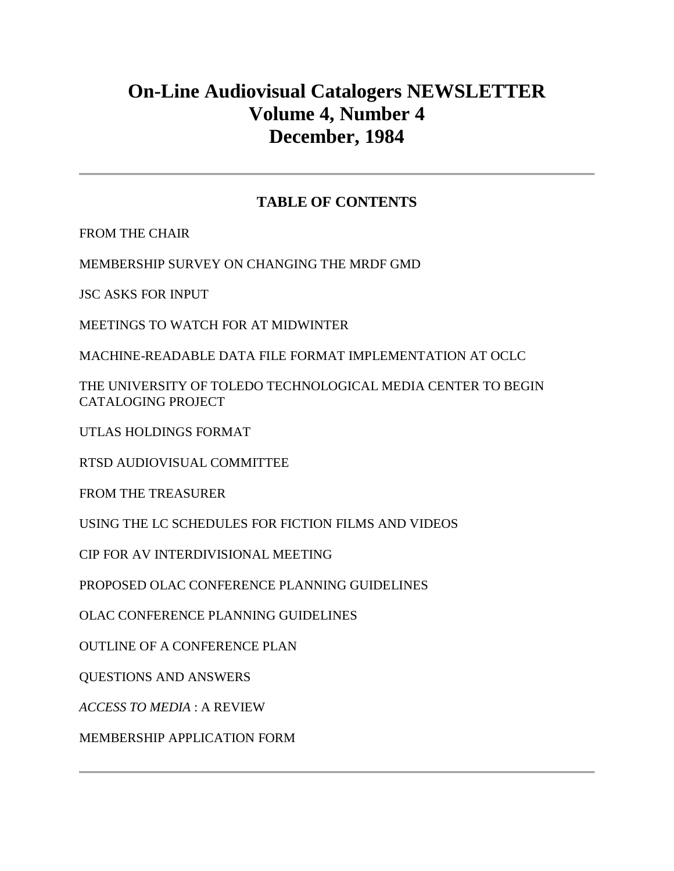# **On-Line Audiovisual Catalogers NEWSLETTER Volume 4, Number 4 December, 1984**

# **TABLE OF CONTENTS**

[FROM THE CHAIR](http://ublib.buffalo.edu/libraries/units/cts/olac/newsletters/dec84.html#chair)

[MEMBERSHIP SURVEY ON CHANGING THE MRDF GMD](http://ublib.buffalo.edu/libraries/units/cts/olac/newsletters/dec84.html#survey)

[JSC ASKS FOR INPUT](http://ublib.buffalo.edu/libraries/units/cts/olac/newsletters/dec84.html#jsc)

[MEETINGS TO WATCH FOR AT MIDWINTER](http://ublib.buffalo.edu/libraries/units/cts/olac/newsletters/dec84.html#meetings)

[MACHINE-READABLE DATA FILE FORMAT IMPLEMENTATION AT OCLC](http://ublib.buffalo.edu/libraries/units/cts/olac/newsletters/dec84.html#data)

[THE UNIVERSITY OF TOLEDO TECHNOLOGICAL MEDIA CENTER TO BEGIN](http://ublib.buffalo.edu/libraries/units/cts/olac/newsletters/dec84.html#toledo)  [CATALOGING PROJECT](http://ublib.buffalo.edu/libraries/units/cts/olac/newsletters/dec84.html#toledo)

[UTLAS HOLDINGS FORMAT](http://ublib.buffalo.edu/libraries/units/cts/olac/newsletters/dec84.html#utlas)

[RTSD AUDIOVISUAL COMMITTEE](http://ublib.buffalo.edu/libraries/units/cts/olac/newsletters/dec84.html#rtsd)

FROM [THE TREASURER](http://ublib.buffalo.edu/libraries/units/cts/olac/newsletters/dec84.html#treasurer)

[USING THE LC SCHEDULES FOR FICTION FILMS AND VIDEOS](http://ublib.buffalo.edu/libraries/units/cts/olac/newsletters/dec84.html#schedules)

[CIP FOR AV INTERDIVISIONAL MEETING](http://ublib.buffalo.edu/libraries/units/cts/olac/newsletters/dec84.html#cip)

[PROPOSED OLAC CONFERENCE PLANNING GUIDELINES](http://ublib.buffalo.edu/libraries/units/cts/olac/newsletters/dec84.html#proposed)

[OLAC CONFERENCE PLANNING GUIDELINES](http://ublib.buffalo.edu/libraries/units/cts/olac/newsletters/dec84.html#guidelines)

[OUTLINE OF A CONFERENCE PLAN](http://ublib.buffalo.edu/libraries/units/cts/olac/newsletters/dec84.html#outline)

[QUESTIONS AND ANSWERS](http://ublib.buffalo.edu/libraries/units/cts/olac/newsletters/dec84.html#q&a)

*[ACCESS TO MEDIA](http://ublib.buffalo.edu/libraries/units/cts/olac/newsletters/dec84.html#access)* : A REVIEW

[MEMBERSHIP APPLICATION FORM](http://ublib.buffalo.edu/libraries/units/cts/olac/newsletters/dec84.html#form)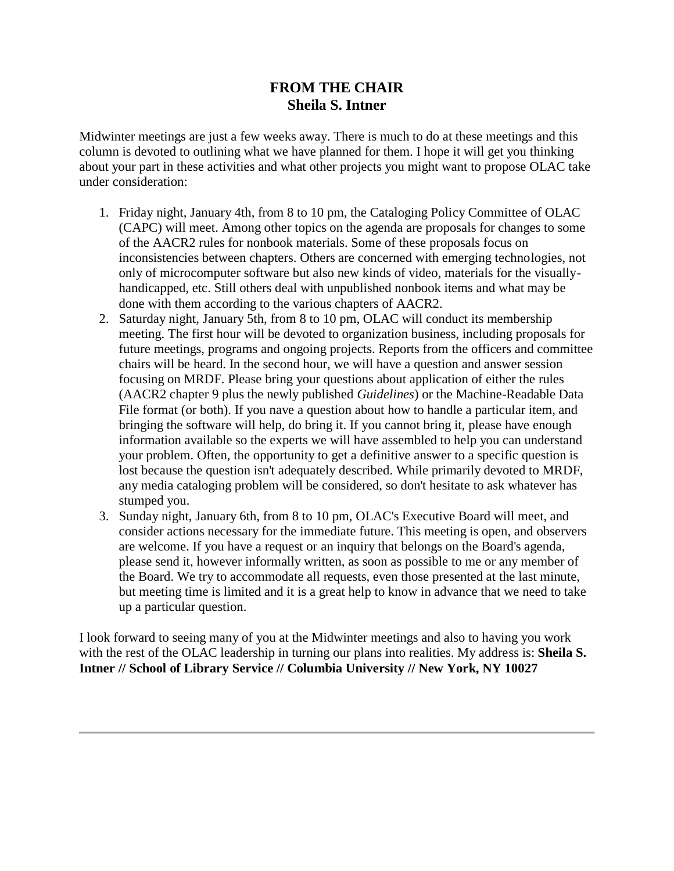# **FROM THE CHAIR Sheila S. Intner**

Midwinter meetings are just a few weeks away. There is much to do at these meetings and this column is devoted to outlining what we have planned for them. I hope it will get you thinking about your part in these activities and what other projects you might want to propose OLAC take under consideration:

- 1. Friday night, January 4th, from 8 to 10 pm, the Cataloging Policy Committee of OLAC (CAPC) will meet. Among other topics on the agenda are proposals for changes to some of the AACR2 rules for nonbook materials. Some of these proposals focus on inconsistencies between chapters. Others are concerned with emerging technologies, not only of microcomputer software but also new kinds of video, materials for the visuallyhandicapped, etc. Still others deal with unpublished nonbook items and what may be done with them according to the various chapters of AACR2.
- 2. Saturday night, January 5th, from 8 to 10 pm, OLAC will conduct its membership meeting. The first hour will be devoted to organization business, including proposals for future meetings, programs and ongoing projects. Reports from the officers and committee chairs will be heard. In the second hour, we will have a question and answer session focusing on MRDF. Please bring your questions about application of either the rules (AACR2 chapter 9 plus the newly published *Guidelines*) or the Machine-Readable Data File format (or both). If you nave a question about how to handle a particular item, and bringing the software will help, do bring it. If you cannot bring it, please have enough information available so the experts we will have assembled to help you can understand your problem. Often, the opportunity to get a definitive answer to a specific question is lost because the question isn't adequately described. While primarily devoted to MRDF, any media cataloging problem will be considered, so don't hesitate to ask whatever has stumped you.
- 3. Sunday night, January 6th, from 8 to 10 pm, OLAC's Executive Board will meet, and consider actions necessary for the immediate future. This meeting is open, and observers are welcome. If you have a request or an inquiry that belongs on the Board's agenda, please send it, however informally written, as soon as possible to me or any member of the Board. We try to accommodate all requests, even those presented at the last minute, but meeting time is limited and it is a great help to know in advance that we need to take up a particular question.

I look forward to seeing many of you at the Midwinter meetings and also to having you work with the rest of the OLAC leadership in turning our plans into realities. My address is: **Sheila S. Intner // School of Library Service // Columbia University // New York, NY 10027**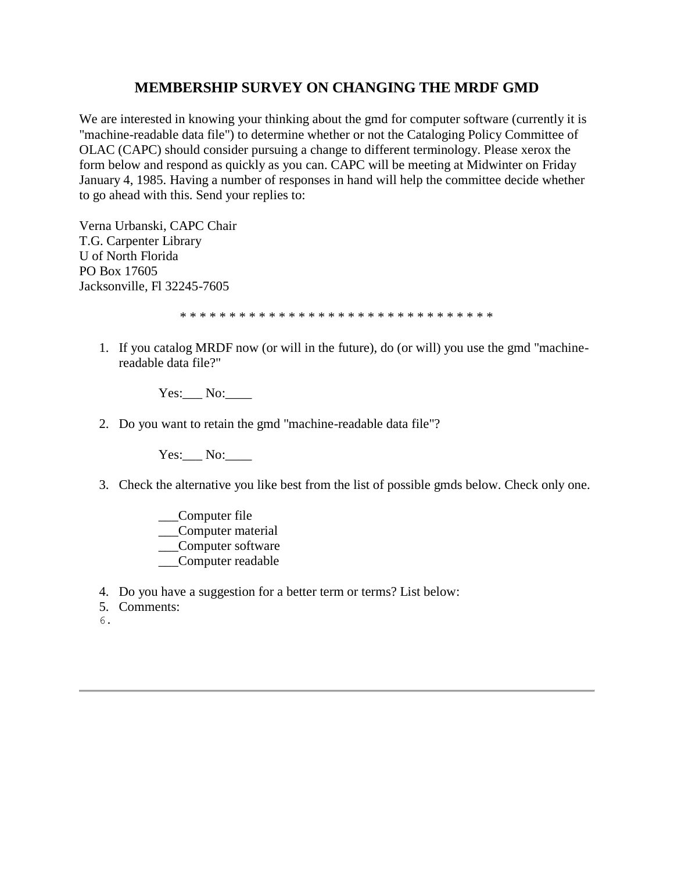# **MEMBERSHIP SURVEY ON CHANGING THE MRDF GMD**

We are interested in knowing your thinking about the gmd for computer software (currently it is "machine-readable data file") to determine whether or not the Cataloging Policy Committee of OLAC (CAPC) should consider pursuing a change to different terminology. Please xerox the form below and respond as quickly as you can. CAPC will be meeting at Midwinter on Friday January 4, 1985. Having a number of responses in hand will help the committee decide whether to go ahead with this. Send your replies to:

Verna Urbanski, CAPC Chair T.G. Carpenter Library U of North Florida PO Box 17605 Jacksonville, Fl 32245-7605

\* \* \* \* \* \* \* \* \* \* \* \* \* \* \* \* \* \* \* \* \* \* \* \* \* \* \* \* \* \* \* \*

1. If you catalog MRDF now (or will in the future), do (or will) you use the gmd "machinereadable data file?"

Yes: No:

2. Do you want to retain the gmd "machine-readable data file"?

Yes: No:

- 3. Check the alternative you like best from the list of possible gmds below. Check only one.
	- \_\_\_Computer file \_\_\_Computer material \_\_\_Computer software \_\_\_Computer readable
- 4. Do you have a suggestion for a better term or terms? List below:
- 5. Comments:
- 6.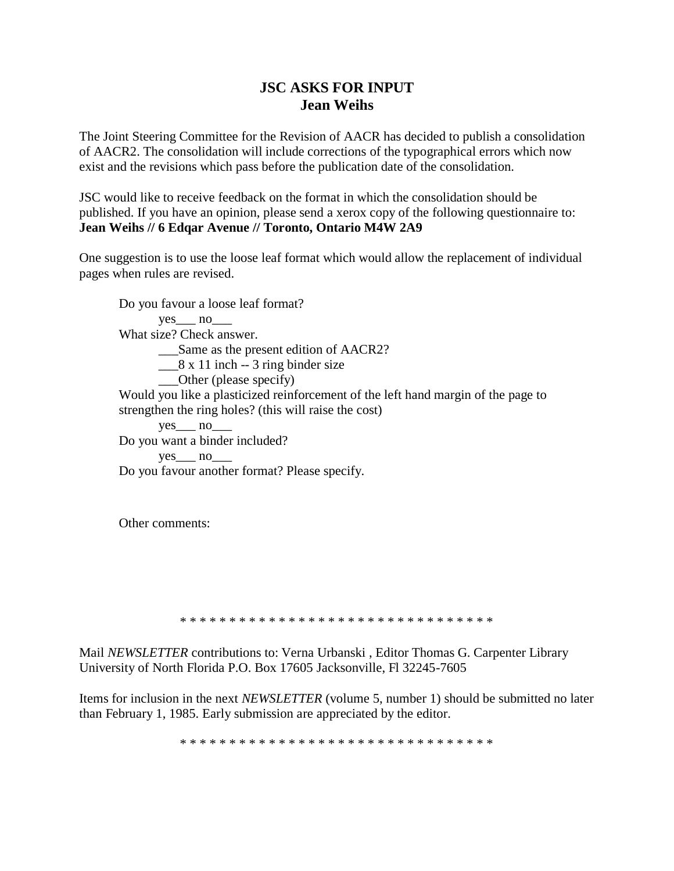# **JSC ASKS FOR INPUT Jean Weihs**

The Joint Steering Committee for the Revision of AACR has decided to publish a consolidation of AACR2. The consolidation will include corrections of the typographical errors which now exist and the revisions which pass before the publication date of the consolidation.

JSC would like to receive feedback on the format in which the consolidation should be published. If you have an opinion, please send a xerox copy of the following questionnaire to: **Jean Weihs // 6 Edqar Avenue // Toronto, Ontario M4W 2A9**

One suggestion is to use the loose leaf format which would allow the replacement of individual pages when rules are revised.

Do you favour a loose leaf format?  $yes \qquad no \qquad$ What size? Check answer. \_\_\_Same as the present edition of AACR2?  $\frac{8 \times 11}{2}$  inch -- 3 ring binder size \_\_\_Other (please specify) Would you like a plasticized reinforcement of the left hand margin of the page to strengthen the ring holes? (this will raise the cost) yes no Do you want a binder included? ves no Do you favour another format? Please specify.

Other comments:

\* \* \* \* \* \* \* \* \* \* \* \* \* \* \* \* \* \* \* \* \* \* \* \* \* \* \* \* \* \* \* \*

Mail *NEWSLETTER* contributions to: Verna Urbanski , Editor Thomas G. Carpenter Library University of North Florida P.O. Box 17605 Jacksonville, Fl 32245-7605

Items for inclusion in the next *NEWSLETTER* [\(volume 5, number 1\)](http://ublib.buffalo.edu/libraries/units/cts/olac/newsletters/mar85.html) should be submitted no later than February 1, 1985. Early submission are appreciated by the editor.

\* \* \* \* \* \* \* \* \* \* \* \* \* \* \* \* \* \* \* \* \* \* \* \* \* \* \* \* \* \* \* \*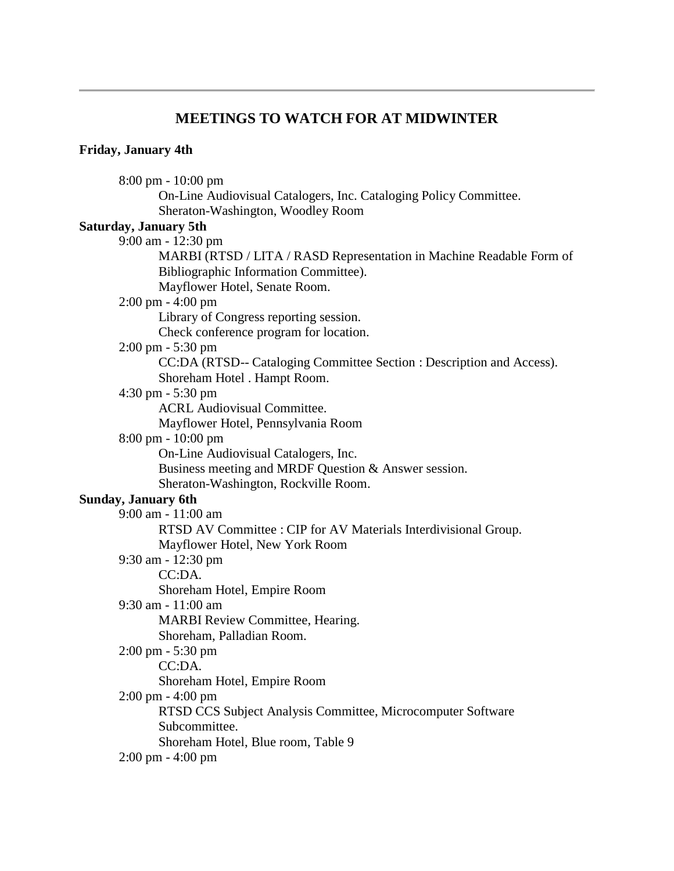### **MEETINGS TO WATCH FOR AT MIDWINTER**

#### **Friday, January 4th**

8:00 pm - 10:00 pm On-Line Audiovisual Catalogers, Inc. Cataloging Policy Committee. Sheraton-Washington, Woodley Room **Saturday, January 5th** 9:00 am - 12:30 pm MARBI (RTSD / LITA / RASD Representation in Machine Readable Form of Bibliographic Information Committee). Mayflower Hotel, Senate Room. 2:00 pm - 4:00 pm Library of Congress reporting session. Check conference program for location. 2:00 pm - 5:30 pm CC:DA (RTSD-- Cataloging Committee Section : Description and Access). Shoreham Hotel . Hampt Room. 4:30 pm - 5:30 pm ACRL Audiovisual Committee. Mayflower Hotel, Pennsylvania Room 8:00 pm - 10:00 pm On-Line Audiovisual Catalogers, Inc. Business meeting and MRDF Question & Answer session. Sheraton-Washington, Rockville Room. **Sunday, January 6th** 9:00 am - 11:00 am RTSD AV Committee : CIP for AV Materials Interdivisional Group. Mayflower Hotel, New York Room 9:30 am - 12:30 pm CC:DA. Shoreham Hotel, Empire Room 9:30 am - 11:00 am MARBI Review Committee, Hearing. Shoreham, Palladian Room. 2:00 pm - 5:30 pm CC:DA. Shoreham Hotel, Empire Room 2:00 pm - 4:00 pm RTSD CCS Subject Analysis Committee, Microcomputer Software Subcommittee. Shoreham Hotel, Blue room, Table 9 2:00 pm - 4:00 pm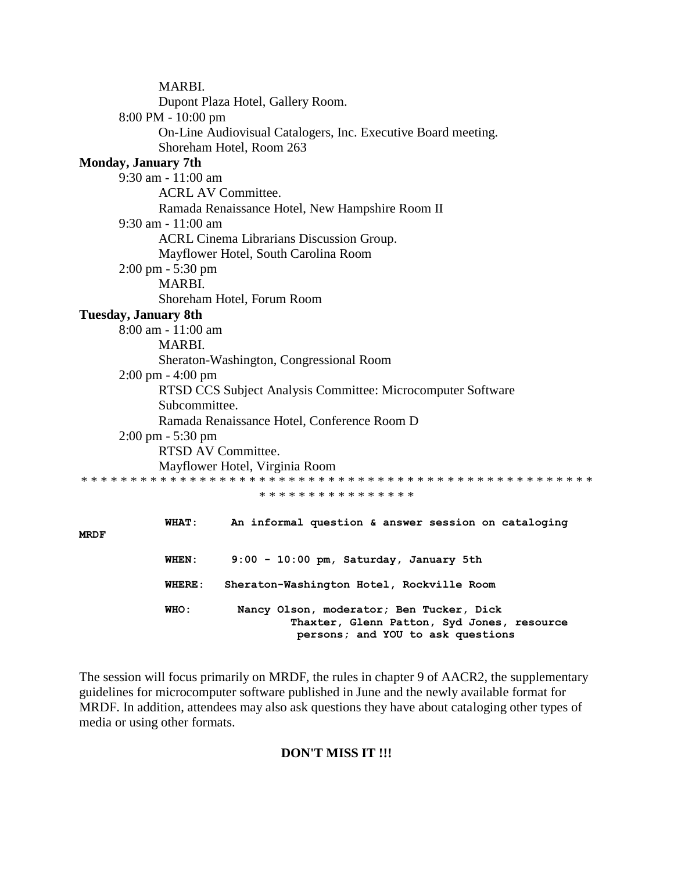|             | MARBI.                              |                                                                                                                             |
|-------------|-------------------------------------|-----------------------------------------------------------------------------------------------------------------------------|
|             |                                     | Dupont Plaza Hotel, Gallery Room.                                                                                           |
|             | 8:00 PM - 10:00 pm                  |                                                                                                                             |
|             |                                     | On-Line Audiovisual Catalogers, Inc. Executive Board meeting.                                                               |
|             |                                     | Shoreham Hotel, Room 263                                                                                                    |
|             | <b>Monday, January 7th</b>          |                                                                                                                             |
|             | 9:30 am - 11:00 am                  |                                                                                                                             |
|             |                                     | <b>ACRL AV Committee.</b>                                                                                                   |
|             |                                     | Ramada Renaissance Hotel, New Hampshire Room II                                                                             |
|             | 9:30 am - 11:00 am                  |                                                                                                                             |
|             |                                     | ACRL Cinema Librarians Discussion Group.                                                                                    |
|             |                                     | Mayflower Hotel, South Carolina Room                                                                                        |
|             | $2:00 \text{ pm} - 5:30 \text{ pm}$ |                                                                                                                             |
|             | MARBI.                              |                                                                                                                             |
|             |                                     | Shoreham Hotel, Forum Room                                                                                                  |
|             | <b>Tuesday, January 8th</b>         |                                                                                                                             |
|             | 8:00 am - 11:00 am                  |                                                                                                                             |
|             | MARBI.                              |                                                                                                                             |
|             |                                     | Sheraton-Washington, Congressional Room                                                                                     |
|             | $2:00 \text{ pm} - 4:00 \text{ pm}$ |                                                                                                                             |
|             |                                     | RTSD CCS Subject Analysis Committee: Microcomputer Software                                                                 |
|             | Subcommittee.                       |                                                                                                                             |
|             |                                     | Ramada Renaissance Hotel, Conference Room D                                                                                 |
|             | $2:00 \text{ pm} - 5:30 \text{ pm}$ |                                                                                                                             |
|             |                                     | <b>RTSD AV Committee.</b>                                                                                                   |
|             |                                     | Mayflower Hotel, Virginia Room                                                                                              |
|             |                                     |                                                                                                                             |
|             |                                     | * * * * * * * * * * * * * * * *                                                                                             |
|             | WHAT:                               | An informal question & answer session on cataloging                                                                         |
| <b>MRDF</b> |                                     |                                                                                                                             |
|             | WHEN:                               | 9:00 - 10:00 pm, Saturday, January 5th                                                                                      |
|             | WHERE:                              | Sheraton-Washington Hotel, Rockville Room                                                                                   |
|             | WHO:                                | Nancy Olson, moderator; Ben Tucker, Dick<br>Thaxter, Glenn Patton, Syd Jones, resource<br>persons; and YOU to ask questions |

The session will focus primarily on MRDF, the rules in chapter 9 of AACR2, the supplementary guidelines for microcomputer software published in June and the newly available format for MRDF. In addition, attendees may also ask questions they have about cataloging other types of media or using other formats.

### **DON'T MISS IT !!!**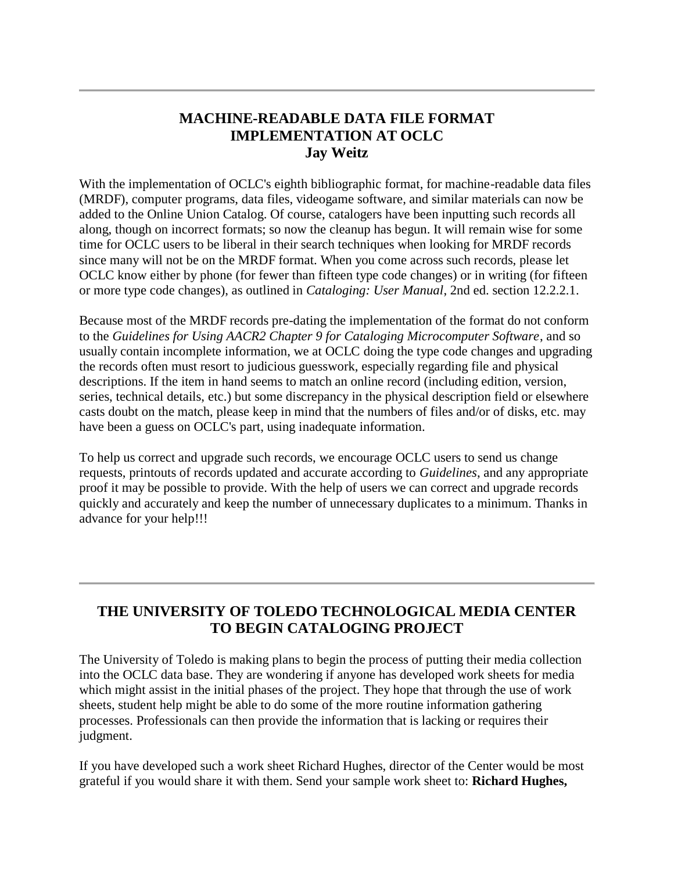# **MACHINE-READABLE DATA FILE FORMAT IMPLEMENTATION AT OCLC Jay Weitz**

With the implementation of OCLC's eighth bibliographic format, for machine-readable data files (MRDF), computer programs, data files, videogame software, and similar materials can now be added to the Online Union Catalog. Of course, catalogers have been inputting such records all along, though on incorrect formats; so now the cleanup has begun. It will remain wise for some time for OCLC users to be liberal in their search techniques when looking for MRDF records since many will not be on the MRDF format. When you come across such records, please let OCLC know either by phone (for fewer than fifteen type code changes) or in writing (for fifteen or more type code changes), as outlined in *Cataloging: User Manual*, 2nd ed. section 12.2.2.1.

Because most of the MRDF records pre-dating the implementation of the format do not conform to the *Guidelines for Using AACR2 Chapter 9 for Cataloging Microcomputer Software*, and so usually contain incomplete information, we at OCLC doing the type code changes and upgrading the records often must resort to judicious guesswork, especially regarding file and physical descriptions. If the item in hand seems to match an online record (including edition, version, series, technical details, etc.) but some discrepancy in the physical description field or elsewhere casts doubt on the match, please keep in mind that the numbers of files and/or of disks, etc. may have been a guess on OCLC's part, using inadequate information.

To help us correct and upgrade such records, we encourage OCLC users to send us change requests, printouts of records updated and accurate according to *Guidelines*, and any appropriate proof it may be possible to provide. With the help of users we can correct and upgrade records quickly and accurately and keep the number of unnecessary duplicates to a minimum. Thanks in advance for your help!!!

# **THE UNIVERSITY OF TOLEDO TECHNOLOGICAL MEDIA CENTER TO BEGIN CATALOGING PROJECT**

The University of Toledo is making plans to begin the process of putting their media collection into the OCLC data base. They are wondering if anyone has developed work sheets for media which might assist in the initial phases of the project. They hope that through the use of work sheets, student help might be able to do some of the more routine information gathering processes. Professionals can then provide the information that is lacking or requires their judgment.

If you have developed such a work sheet Richard Hughes, director of the Center would be most grateful if you would share it with them. Send your sample work sheet to: **Richard Hughes,**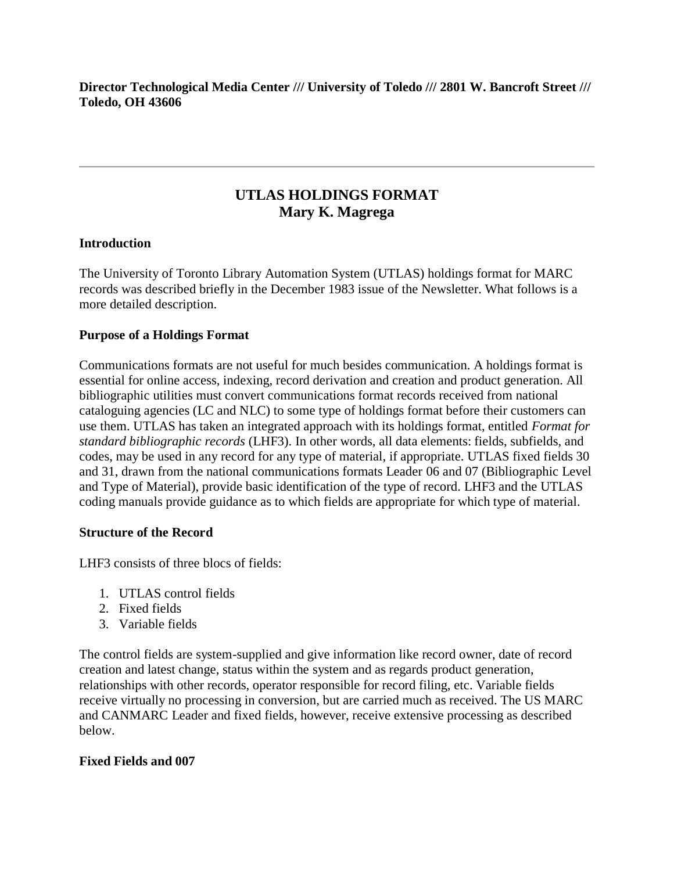### **Director Technological Media Center /// University of Toledo /// 2801 W. Bancroft Street /// Toledo, OH 43606**

# **UTLAS HOLDINGS FORMAT Mary K. Magrega**

### **Introduction**

The University of Toronto Library Automation System (UTLAS) holdings format for MARC records was described briefly in the December 1983 issue of the Newsletter. What follows is a more detailed description.

### **Purpose of a Holdings Format**

Communications formats are not useful for much besides communication. A holdings format is essential for online access, indexing, record derivation and creation and product generation. All bibliographic utilities must convert communications format records received from national cataloguing agencies (LC and NLC) to some type of holdings format before their customers can use them. UTLAS has taken an integrated approach with its holdings format, entitled *Format for standard bibliographic records* (LHF3). In other words, all data elements: fields, subfields, and codes, may be used in any record for any type of material, if appropriate. UTLAS fixed fields 30 and 31, drawn from the national communications formats Leader 06 and 07 (Bibliographic Level and Type of Material), provide basic identification of the type of record. LHF3 and the UTLAS coding manuals provide guidance as to which fields are appropriate for which type of material.

### **Structure of the Record**

LHF3 consists of three blocs of fields:

- 1. UTLAS control fields
- 2. Fixed fields
- 3. Variable fields

The control fields are system-supplied and give information like record owner, date of record creation and latest change, status within the system and as regards product generation, relationships with other records, operator responsible for record filing, etc. Variable fields receive virtually no processing in conversion, but are carried much as received. The US MARC and CANMARC Leader and fixed fields, however, receive extensive processing as described below.

### **Fixed Fields and 007**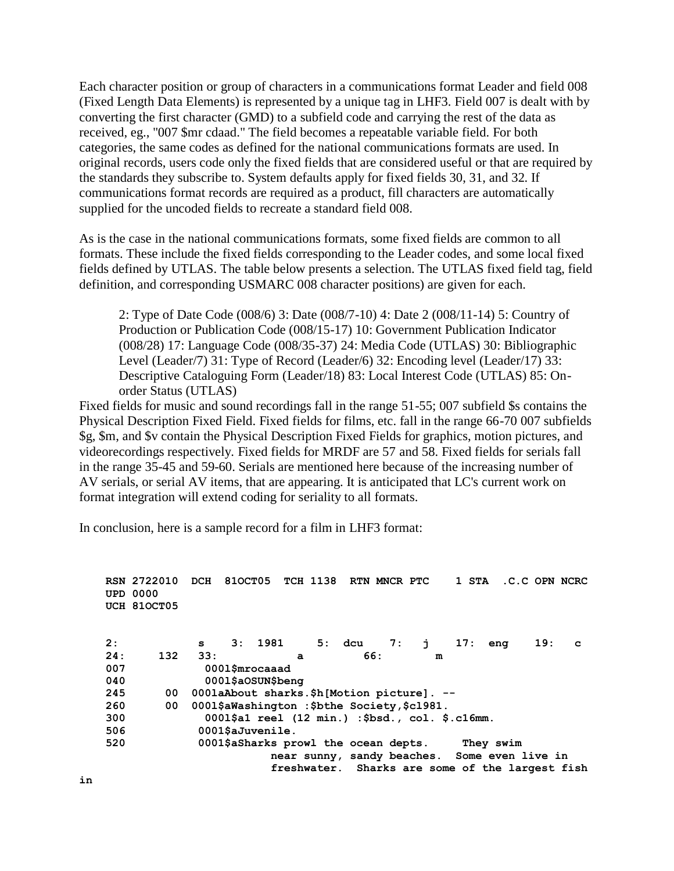Each character position or group of characters in a communications format Leader and field 008 (Fixed Length Data Elements) is represented by a unique tag in LHF3. Field 007 is dealt with by converting the first character (GMD) to a subfield code and carrying the rest of the data as received, eg., "007 \$mr cdaad." The field becomes a repeatable variable field. For both categories, the same codes as defined for the national communications formats are used. In original records, users code only the fixed fields that are considered useful or that are required by the standards they subscribe to. System defaults apply for fixed fields 30, 31, and 32. If communications format records are required as a product, fill characters are automatically supplied for the uncoded fields to recreate a standard field 008.

As is the case in the national communications formats, some fixed fields are common to all formats. These include the fixed fields corresponding to the Leader codes, and some local fixed fields defined by UTLAS. The table below presents a selection. The UTLAS fixed field tag, field definition, and corresponding USMARC 008 character positions) are given for each.

2: Type of Date Code (008/6) 3: Date (008/7-10) 4: Date 2 (008/11-14) 5: Country of Production or Publication Code (008/15-17) 10: Government Publication Indicator (008/28) 17: Language Code (008/35-37) 24: Media Code (UTLAS) 30: Bibliographic Level (Leader/7) 31: Type of Record (Leader/6) 32: Encoding level (Leader/17) 33: Descriptive Cataloguing Form (Leader/18) 83: Local Interest Code (UTLAS) 85: Onorder Status (UTLAS)

Fixed fields for music and sound recordings fall in the range 51-55; 007 subfield \$s contains the Physical Description Fixed Field. Fixed fields for films, etc. fall in the range 66-70 007 subfields \$g, \$m, and \$v contain the Physical Description Fixed Fields for graphics, motion pictures, and videorecordings respectively. Fixed fields for MRDF are 57 and 58. Fixed fields for serials fall in the range 35-45 and 59-60. Serials are mentioned here because of the increasing number of AV serials, or serial AV items, that are appearing. It is anticipated that LC's current work on format integration will extend coding for seriality to all formats.

In conclusion, here is a sample record for a film in LHF3 format:

|     | RSN 2722010 | DCH                                                       | 810CT05           |        |   | <b>TCH 1138</b> |        | RTN MNCR PTC |    |   | 1 STA |     | .C.C OPN NCRC                                   |   |
|-----|-------------|-----------------------------------------------------------|-------------------|--------|---|-----------------|--------|--------------|----|---|-------|-----|-------------------------------------------------|---|
|     | UPD 0000    |                                                           |                   |        |   |                 |        |              |    |   |       |     |                                                 |   |
|     | UCH 810CT05 |                                                           |                   |        |   |                 |        |              |    |   |       |     |                                                 |   |
| 2:  |             |                                                           |                   | 3:1981 |   |                 | 5: dcu | 7:           |    |   | 17:   |     | 19:                                             |   |
|     |             | s.                                                        |                   |        |   |                 |        |              | j. |   |       | enq |                                                 | C |
| 24: | 132         | 33:                                                       |                   |        | a |                 | 66:    |              |    | m |       |     |                                                 |   |
| 007 |             | 0001\$mrocaaad                                            |                   |        |   |                 |        |              |    |   |       |     |                                                 |   |
| 040 |             |                                                           | 0001\$aOSUN\$beng |        |   |                 |        |              |    |   |       |     |                                                 |   |
| 245 | 00          | 0001aAbout sharks.\$h[Motion picture]. --                 |                   |        |   |                 |        |              |    |   |       |     |                                                 |   |
| 260 | 00          | 0001\$aWashington:\$bthe Society,\$c1981.                 |                   |        |   |                 |        |              |    |   |       |     |                                                 |   |
| 300 |             | 0001\$a1 reel $(12 \text{ min.})$ :\$bsd., col. \$.c16mm. |                   |        |   |                 |        |              |    |   |       |     |                                                 |   |
| 506 |             | $0001$ ŜaJuvenile.                                        |                   |        |   |                 |        |              |    |   |       |     |                                                 |   |
| 520 |             | 0001\$aSharks prowl the ocean depts.<br>They swim         |                   |        |   |                 |        |              |    |   |       |     |                                                 |   |
|     |             |                                                           |                   |        |   |                 |        |              |    |   |       |     | near sunny, sandy beaches. Some even live in    |   |
|     |             |                                                           |                   |        |   |                 |        |              |    |   |       |     | freshwater. Sharks are some of the largest fish |   |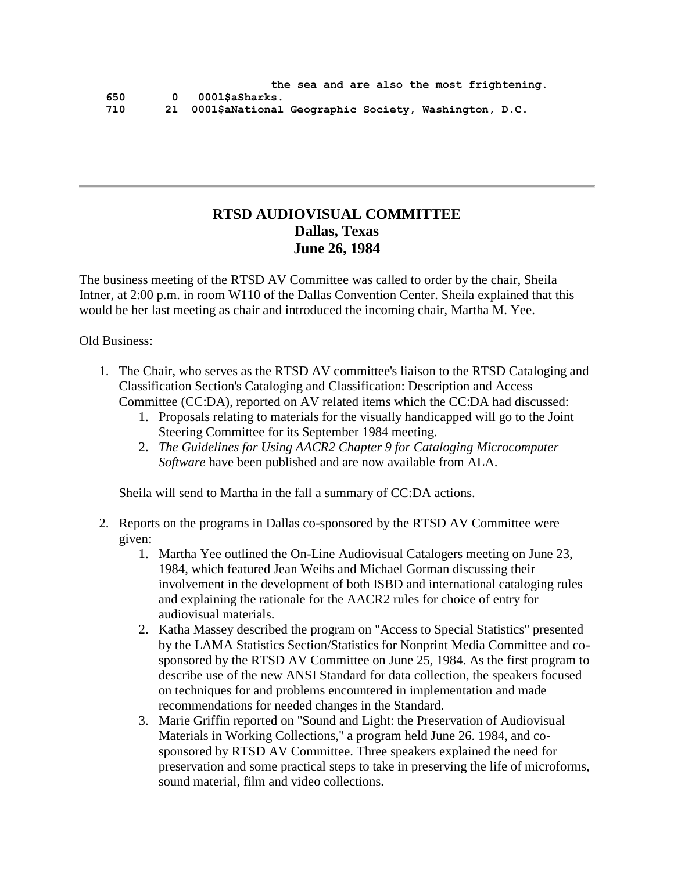# **RTSD AUDIOVISUAL COMMITTEE Dallas, Texas June 26, 1984**

The business meeting of the RTSD AV Committee was called to order by the chair, Sheila Intner, at 2:00 p.m. in room W110 of the Dallas Convention Center. Sheila explained that this would be her last meeting as chair and introduced the incoming chair, Martha M. Yee.

Old Business:

- 1. The Chair, who serves as the RTSD AV committee's liaison to the RTSD Cataloging and Classification Section's Cataloging and Classification: Description and Access Committee (CC:DA), reported on AV related items which the CC:DA had discussed:
	- 1. Proposals relating to materials for the visually handicapped will go to the Joint Steering Committee for its September 1984 meeting.
	- 2. *The Guidelines for Using AACR2 Chapter 9 for Cataloging Microcomputer Software* have been published and are now available from ALA.

Sheila will send to Martha in the fall a summary of CC:DA actions.

- 2. Reports on the programs in Dallas co-sponsored by the RTSD AV Committee were given:
	- 1. Martha Yee outlined the On-Line Audiovisual Catalogers meeting on June 23, 1984, which featured Jean Weihs and Michael Gorman discussing their involvement in the development of both ISBD and international cataloging rules and explaining the rationale for the AACR2 rules for choice of entry for audiovisual materials.
	- 2. Katha Massey described the program on "Access to Special Statistics" presented by the LAMA Statistics Section/Statistics for Nonprint Media Committee and cosponsored by the RTSD AV Committee on June 25, 1984. As the first program to describe use of the new ANSI Standard for data collection, the speakers focused on techniques for and problems encountered in implementation and made recommendations for needed changes in the Standard.
	- 3. Marie Griffin reported on "Sound and Light: the Preservation of Audiovisual Materials in Working Collections," a program held June 26. 1984, and cosponsored by RTSD AV Committee. Three speakers explained the need for preservation and some practical steps to take in preserving the life of microforms, sound material, film and video collections.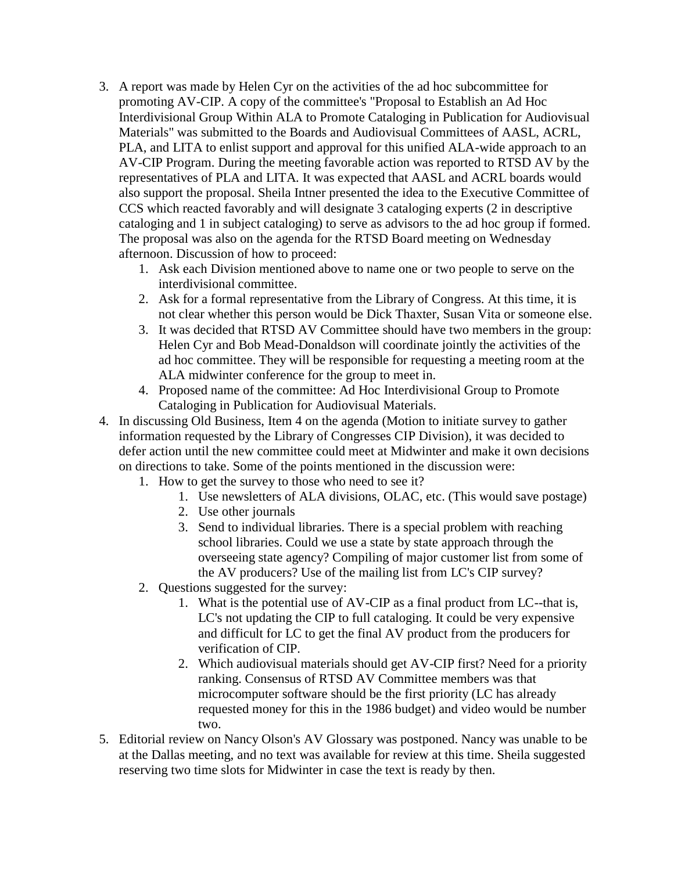- 3. A report was made by Helen Cyr on the activities of the ad hoc subcommittee for promoting AV-CIP. A copy of the committee's "Proposal to Establish an Ad Hoc Interdivisional Group Within ALA to Promote Cataloging in Publication for Audiovisual Materials" was submitted to the Boards and Audiovisual Committees of AASL, ACRL, PLA, and LITA to enlist support and approval for this unified ALA-wide approach to an AV-CIP Program. During the meeting favorable action was reported to RTSD AV by the representatives of PLA and LITA. It was expected that AASL and ACRL boards would also support the proposal. Sheila Intner presented the idea to the Executive Committee of CCS which reacted favorably and will designate 3 cataloging experts (2 in descriptive cataloging and 1 in subject cataloging) to serve as advisors to the ad hoc group if formed. The proposal was also on the agenda for the RTSD Board meeting on Wednesday afternoon. Discussion of how to proceed:
	- 1. Ask each Division mentioned above to name one or two people to serve on the interdivisional committee.
	- 2. Ask for a formal representative from the Library of Congress. At this time, it is not clear whether this person would be Dick Thaxter, Susan Vita or someone else.
	- 3. It was decided that RTSD AV Committee should have two members in the group: Helen Cyr and Bob Mead-Donaldson will coordinate jointly the activities of the ad hoc committee. They will be responsible for requesting a meeting room at the ALA midwinter conference for the group to meet in.
	- 4. Proposed name of the committee: Ad Hoc Interdivisional Group to Promote Cataloging in Publication for Audiovisual Materials.
- 4. In discussing Old Business, Item 4 on the agenda (Motion to initiate survey to gather information requested by the Library of Congresses CIP Division), it was decided to defer action until the new committee could meet at Midwinter and make it own decisions on directions to take. Some of the points mentioned in the discussion were:
	- 1. How to get the survey to those who need to see it?
		- 1. Use newsletters of ALA divisions, OLAC, etc. (This would save postage)
		- 2. Use other journals
		- 3. Send to individual libraries. There is a special problem with reaching school libraries. Could we use a state by state approach through the overseeing state agency? Compiling of major customer list from some of the AV producers? Use of the mailing list from LC's CIP survey?
	- 2. Questions suggested for the survey:
		- 1. What is the potential use of AV-CIP as a final product from LC--that is, LC's not updating the CIP to full cataloging. It could be very expensive and difficult for LC to get the final AV product from the producers for verification of CIP.
		- 2. Which audiovisual materials should get AV-CIP first? Need for a priority ranking. Consensus of RTSD AV Committee members was that microcomputer software should be the first priority (LC has already requested money for this in the 1986 budget) and video would be number two.
- 5. Editorial review on Nancy Olson's AV Glossary was postponed. Nancy was unable to be at the Dallas meeting, and no text was available for review at this time. Sheila suggested reserving two time slots for Midwinter in case the text is ready by then.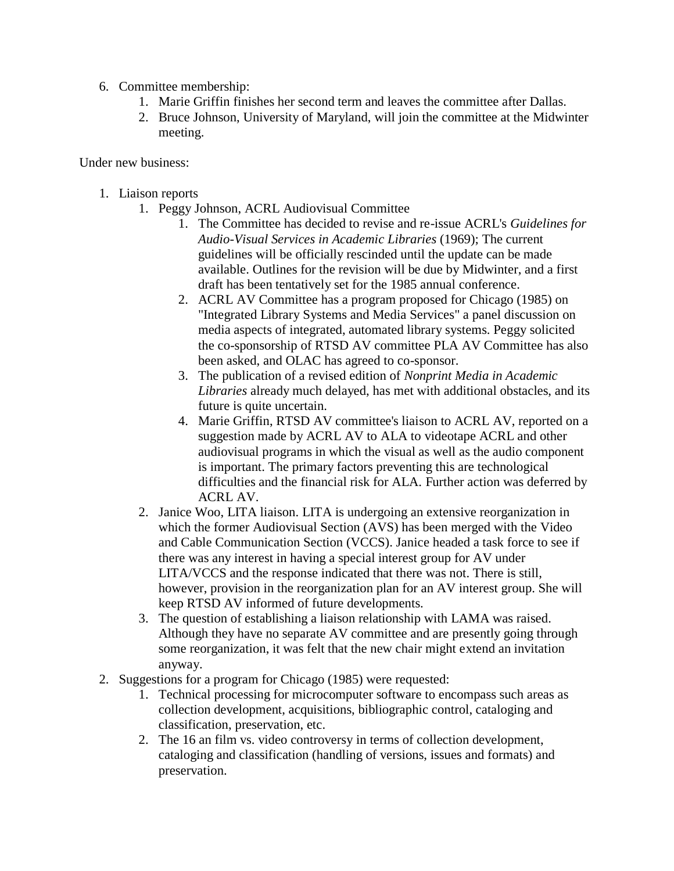- 6. Committee membership:
	- 1. Marie Griffin finishes her second term and leaves the committee after Dallas.
	- 2. Bruce Johnson, University of Maryland, will join the committee at the Midwinter meeting.

Under new business:

- 1. Liaison reports
	- 1. Peggy Johnson, ACRL Audiovisual Committee
		- 1. The Committee has decided to revise and re-issue ACRL's *Guidelines for Audio-Visual Services in Academic Libraries* (1969); The current guidelines will be officially rescinded until the update can be made available. Outlines for the revision will be due by Midwinter, and a first draft has been tentatively set for the 1985 annual conference.
		- 2. ACRL AV Committee has a program proposed for Chicago (1985) on "Integrated Library Systems and Media Services" a panel discussion on media aspects of integrated, automated library systems. Peggy solicited the co-sponsorship of RTSD AV committee PLA AV Committee has also been asked, and OLAC has agreed to co-sponsor.
		- 3. The publication of a revised edition of *Nonprint Media in Academic Libraries* already much delayed, has met with additional obstacles, and its future is quite uncertain.
		- 4. Marie Griffin, RTSD AV committee's liaison to ACRL AV, reported on a suggestion made by ACRL AV to ALA to videotape ACRL and other audiovisual programs in which the visual as well as the audio component is important. The primary factors preventing this are technological difficulties and the financial risk for ALA. Further action was deferred by ACRL AV.
	- 2. Janice Woo, LITA liaison. LITA is undergoing an extensive reorganization in which the former Audiovisual Section (AVS) has been merged with the Video and Cable Communication Section (VCCS). Janice headed a task force to see if there was any interest in having a special interest group for AV under LITA/VCCS and the response indicated that there was not. There is still, however, provision in the reorganization plan for an AV interest group. She will keep RTSD AV informed of future developments.
	- 3. The question of establishing a liaison relationship with LAMA was raised. Although they have no separate AV committee and are presently going through some reorganization, it was felt that the new chair might extend an invitation anyway.
- 2. Suggestions for a program for Chicago (1985) were requested:
	- 1. Technical processing for microcomputer software to encompass such areas as collection development, acquisitions, bibliographic control, cataloging and classification, preservation, etc.
	- 2. The 16 an film vs. video controversy in terms of collection development, cataloging and classification (handling of versions, issues and formats) and preservation.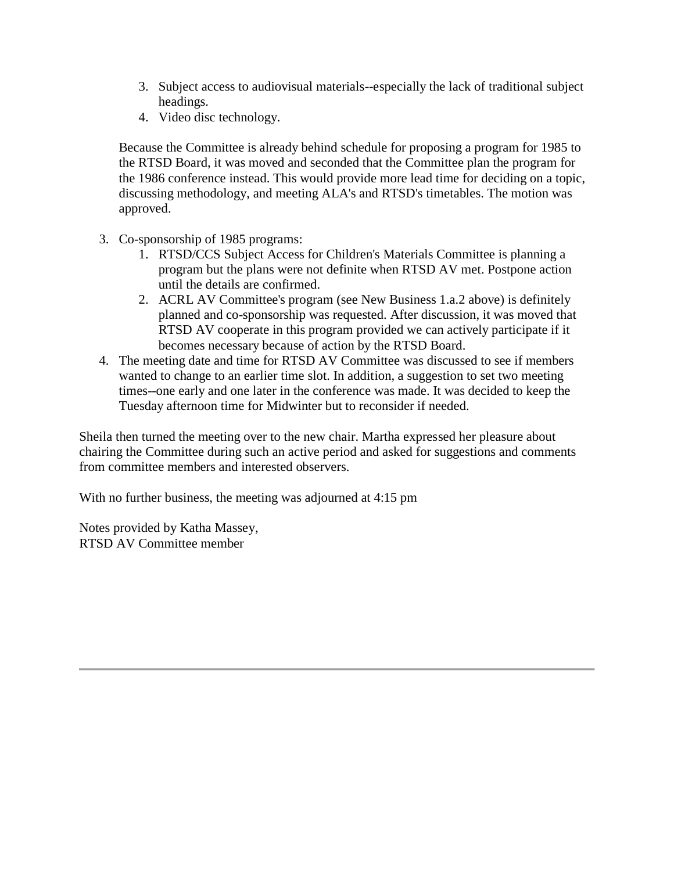- 3. Subject access to audiovisual materials--especially the lack of traditional subject headings.
- 4. Video disc technology.

Because the Committee is already behind schedule for proposing a program for 1985 to the RTSD Board, it was moved and seconded that the Committee plan the program for the 1986 conference instead. This would provide more lead time for deciding on a topic, discussing methodology, and meeting ALA's and RTSD's timetables. The motion was approved.

- 3. Co-sponsorship of 1985 programs:
	- 1. RTSD/CCS Subject Access for Children's Materials Committee is planning a program but the plans were not definite when RTSD AV met. Postpone action until the details are confirmed.
	- 2. ACRL AV Committee's program (see New Business 1.a.2 above) is definitely planned and co-sponsorship was requested. After discussion, it was moved that RTSD AV cooperate in this program provided we can actively participate if it becomes necessary because of action by the RTSD Board.
- 4. The meeting date and time for RTSD AV Committee was discussed to see if members wanted to change to an earlier time slot. In addition, a suggestion to set two meeting times--one early and one later in the conference was made. It was decided to keep the Tuesday afternoon time for Midwinter but to reconsider if needed.

Sheila then turned the meeting over to the new chair. Martha expressed her pleasure about chairing the Committee during such an active period and asked for suggestions and comments from committee members and interested observers.

With no further business, the meeting was adjourned at 4:15 pm

Notes provided by Katha Massey, RTSD AV Committee member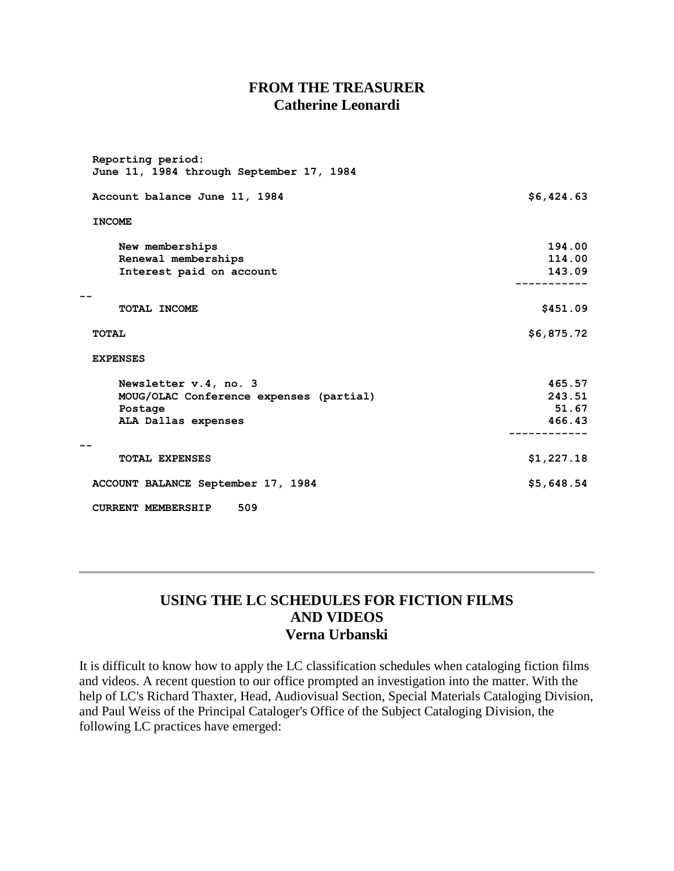### **FROM THE TREASURER Catherine Leonardi**

| Reporting period:<br>June 11, 1984 through September 17, 1984 |            |
|---------------------------------------------------------------|------------|
| Account balance June 11, 1984                                 | \$6,424.63 |
| <b>INCOME</b>                                                 |            |
| New memberships                                               | 194.00     |
| Renewal memberships                                           | 114.00     |
| Interest paid on account                                      | 143.09     |
| TOTAL INCOME                                                  | \$451.09   |
| <b>TOTAL</b>                                                  | \$6,875.72 |
| <b>EXPENSES</b>                                               |            |
| Newsletter v.4, no. 3                                         | 465.57     |
| MOUG/OLAC Conference expenses (partial)                       | 243.51     |
| Postage                                                       | 51.67      |
| ALA Dallas expenses                                           | 466.43     |
| <b>TOTAL EXPENSES</b>                                         | \$1,227.18 |
| ACCOUNT BALANCE September 17, 1984                            | \$5,648.54 |
| 509<br><b>CURRENT MEMBERSHIP</b>                              |            |

### **USING THE LC SCHEDULES FOR FICTION FILMS AND VIDEOS Verna Urbanski**

It is difficult to know how to apply the LC classification schedules when cataloging fiction films and videos. A recent question to our office prompted an investigation into the matter. With the help of LC's Richard Thaxter, Head, Audiovisual Section, Special Materials Cataloging Division, and Paul Weiss of the Principal Cataloger's Office of the Subject Cataloging Division, the following LC practices have emerged: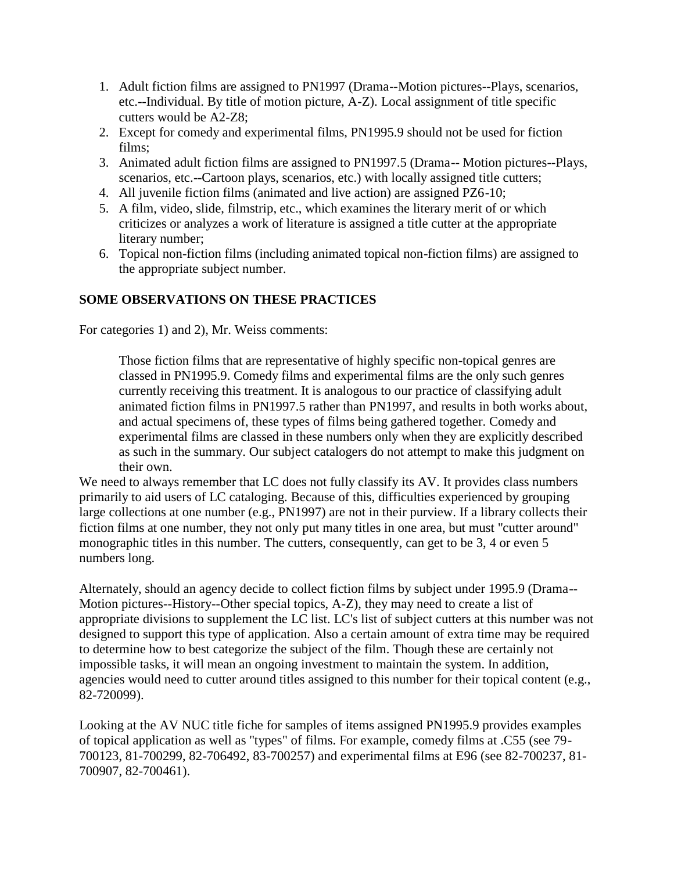- 1. Adult fiction films are assigned to PN1997 (Drama--Motion pictures--Plays, scenarios, etc.--Individual. By title of motion picture, A-Z). Local assignment of title specific cutters would be A2-Z8;
- 2. Except for comedy and experimental films, PN1995.9 should not be used for fiction films;
- 3. Animated adult fiction films are assigned to PN1997.5 (Drama-- Motion pictures--Plays, scenarios, etc.--Cartoon plays, scenarios, etc.) with locally assigned title cutters;
- 4. All juvenile fiction films (animated and live action) are assigned PZ6-10;
- 5. A film, video, slide, filmstrip, etc., which examines the literary merit of or which criticizes or analyzes a work of literature is assigned a title cutter at the appropriate literary number;
- 6. Topical non-fiction films (including animated topical non-fiction films) are assigned to the appropriate subject number.

### **SOME OBSERVATIONS ON THESE PRACTICES**

For categories 1) and 2), Mr. Weiss comments:

Those fiction films that are representative of highly specific non-topical genres are classed in PN1995.9. Comedy films and experimental films are the only such genres currently receiving this treatment. It is analogous to our practice of classifying adult animated fiction films in PN1997.5 rather than PN1997, and results in both works about, and actual specimens of, these types of films being gathered together. Comedy and experimental films are classed in these numbers only when they are explicitly described as such in the summary. Our subject catalogers do not attempt to make this judgment on their own.

We need to always remember that LC does not fully classify its AV. It provides class numbers primarily to aid users of LC cataloging. Because of this, difficulties experienced by grouping large collections at one number (e.g., PN1997) are not in their purview. If a library collects their fiction films at one number, they not only put many titles in one area, but must "cutter around" monographic titles in this number. The cutters, consequently, can get to be 3, 4 or even 5 numbers long.

Alternately, should an agency decide to collect fiction films by subject under 1995.9 (Drama-- Motion pictures--History--Other special topics, A-Z), they may need to create a list of appropriate divisions to supplement the LC list. LC's list of subject cutters at this number was not designed to support this type of application. Also a certain amount of extra time may be required to determine how to best categorize the subject of the film. Though these are certainly not impossible tasks, it will mean an ongoing investment to maintain the system. In addition, agencies would need to cutter around titles assigned to this number for their topical content (e.g., 82-720099).

Looking at the AV NUC title fiche for samples of items assigned PN1995.9 provides examples of topical application as well as "types" of films. For example, comedy films at .C55 (see 79- 700123, 81-700299, 82-706492, 83-700257) and experimental films at E96 (see 82-700237, 81- 700907, 82-700461).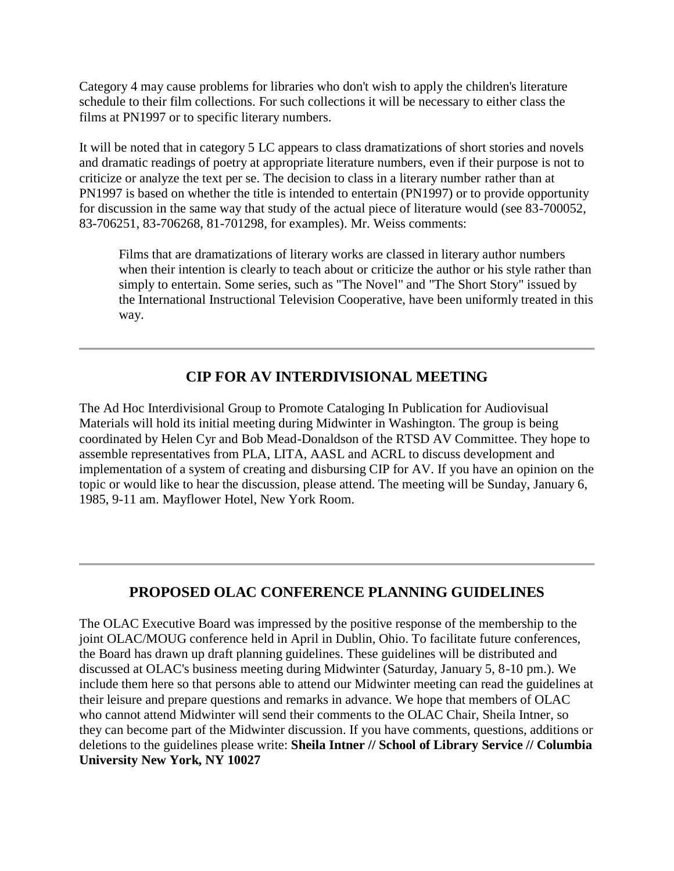Category 4 may cause problems for libraries who don't wish to apply the children's literature schedule to their film collections. For such collections it will be necessary to either class the films at PN1997 or to specific literary numbers.

It will be noted that in category 5 LC appears to class dramatizations of short stories and novels and dramatic readings of poetry at appropriate literature numbers, even if their purpose is not to criticize or analyze the text per se. The decision to class in a literary number rather than at PN1997 is based on whether the title is intended to entertain (PN1997) or to provide opportunity for discussion in the same way that study of the actual piece of literature would (see 83-700052, 83-706251, 83-706268, 81-701298, for examples). Mr. Weiss comments:

Films that are dramatizations of literary works are classed in literary author numbers when their intention is clearly to teach about or criticize the author or his style rather than simply to entertain. Some series, such as "The Novel" and "The Short Story" issued by the International Instructional Television Cooperative, have been uniformly treated in this way.

# **CIP FOR AV INTERDIVISIONAL MEETING**

The Ad Hoc Interdivisional Group to Promote Cataloging In Publication for Audiovisual Materials will hold its initial meeting during Midwinter in Washington. The group is being coordinated by Helen Cyr and Bob Mead-Donaldson of the RTSD AV Committee. They hope to assemble representatives from PLA, LITA, AASL and ACRL to discuss development and implementation of a system of creating and disbursing CIP for AV. If you have an opinion on the topic or would like to hear the discussion, please attend. The meeting will be Sunday, January 6, 1985, 9-11 am. Mayflower Hotel, New York Room.

# **PROPOSED OLAC CONFERENCE PLANNING GUIDELINES**

The OLAC Executive Board was impressed by the positive response of the membership to the joint OLAC/MOUG conference held in April in Dublin, Ohio. To facilitate future conferences, the Board has drawn up draft planning guidelines. These guidelines will be distributed and discussed at OLAC's business meeting during Midwinter (Saturday, January 5, 8-10 pm.). We include them here so that persons able to attend our Midwinter meeting can read the guidelines at their leisure and prepare questions and remarks in advance. We hope that members of OLAC who cannot attend Midwinter will send their comments to the OLAC Chair, Sheila Intner, so they can become part of the Midwinter discussion. If you have comments, questions, additions or deletions to the guidelines please write: **Sheila Intner // School of Library Service // Columbia University New York, NY 10027**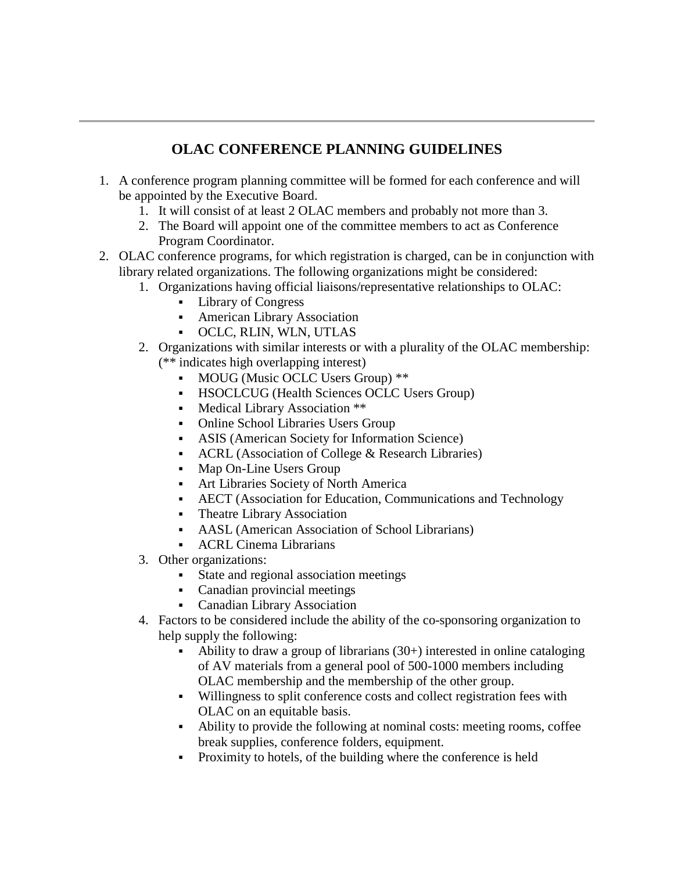# **OLAC CONFERENCE PLANNING GUIDELINES**

- 1. A conference program planning committee will be formed for each conference and will be appointed by the Executive Board.
	- 1. It will consist of at least 2 OLAC members and probably not more than 3.
	- 2. The Board will appoint one of the committee members to act as Conference Program Coordinator.
- 2. OLAC conference programs, for which registration is charged, can be in conjunction with library related organizations. The following organizations might be considered:
	- 1. Organizations having official liaisons/representative relationships to OLAC:
		- **Library of Congress**
		- American Library Association
		- OCLC, RLIN, WLN, UTLAS
	- 2. Organizations with similar interests or with a plurality of the OLAC membership: (\*\* indicates high overlapping interest)
		- MOUG (Music OCLC Users Group) \*\*
		- HSOCLCUG (Health Sciences OCLC Users Group)
		- Medical Library Association \*\*
		- Online School Libraries Users Group
		- ASIS (American Society for Information Science)
		- ACRL (Association of College & Research Libraries)
		- Map On-Line Users Group
		- Art Libraries Society of North America
		- AECT (Association for Education, Communications and Technology
		- Theatre Library Association
		- AASL (American Association of School Librarians)
		- ACRL Cinema Librarians
	- 3. Other organizations:
		- State and regional association meetings
		- Canadian provincial meetings
		- Canadian Library Association
	- 4. Factors to be considered include the ability of the co-sponsoring organization to help supply the following:
		- Ability to draw a group of librarians (30+) interested in online cataloging of AV materials from a general pool of 500-1000 members including OLAC membership and the membership of the other group.
		- Willingness to split conference costs and collect registration fees with OLAC on an equitable basis.
		- Ability to provide the following at nominal costs: meeting rooms, coffee break supplies, conference folders, equipment.
		- Proximity to hotels, of the building where the conference is held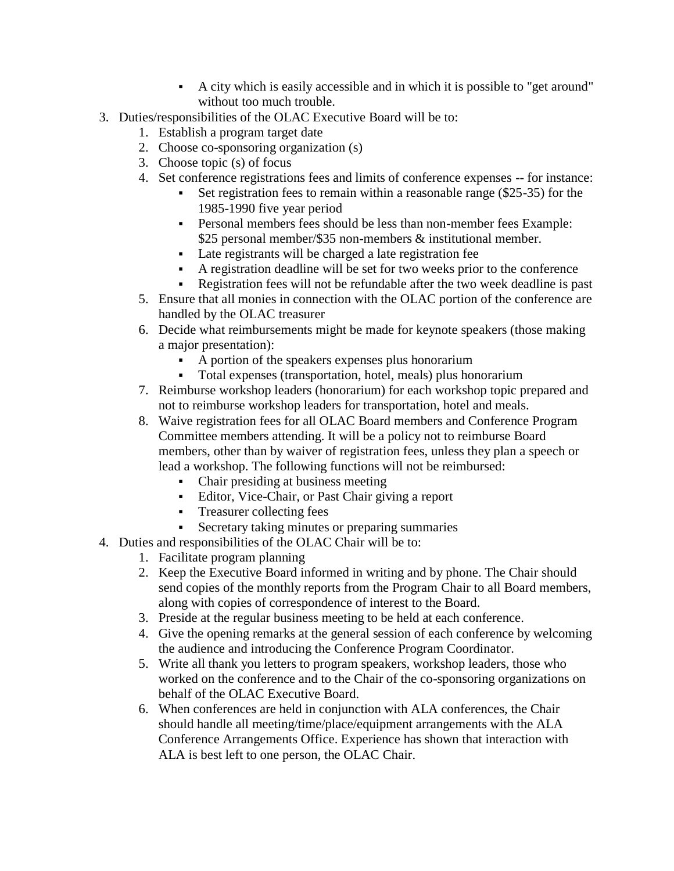- A city which is easily accessible and in which it is possible to "get around" without too much trouble.
- 3. Duties/responsibilities of the OLAC Executive Board will be to:
	- 1. Establish a program target date
	- 2. Choose co-sponsoring organization (s)
	- 3. Choose topic (s) of focus
	- 4. Set conference registrations fees and limits of conference expenses -- for instance:
		- Set registration fees to remain within a reasonable range (\$25-35) for the 1985-1990 five year period
		- Personal members fees should be less than non-member fees Example: \$25 personal member/\$35 non-members & institutional member.
		- Late registrants will be charged a late registration fee
		- A registration deadline will be set for two weeks prior to the conference
		- Registration fees will not be refundable after the two week deadline is past
	- 5. Ensure that all monies in connection with the OLAC portion of the conference are handled by the OLAC treasurer
	- 6. Decide what reimbursements might be made for keynote speakers (those making a major presentation):
		- A portion of the speakers expenses plus honorarium
		- Total expenses (transportation, hotel, meals) plus honorarium
	- 7. Reimburse workshop leaders (honorarium) for each workshop topic prepared and not to reimburse workshop leaders for transportation, hotel and meals.
	- 8. Waive registration fees for all OLAC Board members and Conference Program Committee members attending. It will be a policy not to reimburse Board members, other than by waiver of registration fees, unless they plan a speech or lead a workshop. The following functions will not be reimbursed:
		- Chair presiding at business meeting
		- Editor, Vice-Chair, or Past Chair giving a report
		- **Treasurer collecting fees**
		- Secretary taking minutes or preparing summaries
- 4. Duties and responsibilities of the OLAC Chair will be to:
	- 1. Facilitate program planning
	- 2. Keep the Executive Board informed in writing and by phone. The Chair should send copies of the monthly reports from the Program Chair to all Board members, along with copies of correspondence of interest to the Board.
	- 3. Preside at the regular business meeting to be held at each conference.
	- 4. Give the opening remarks at the general session of each conference by welcoming the audience and introducing the Conference Program Coordinator.
	- 5. Write all thank you letters to program speakers, workshop leaders, those who worked on the conference and to the Chair of the co-sponsoring organizations on behalf of the OLAC Executive Board.
	- 6. When conferences are held in conjunction with ALA conferences, the Chair should handle all meeting/time/place/equipment arrangements with the ALA Conference Arrangements Office. Experience has shown that interaction with ALA is best left to one person, the OLAC Chair.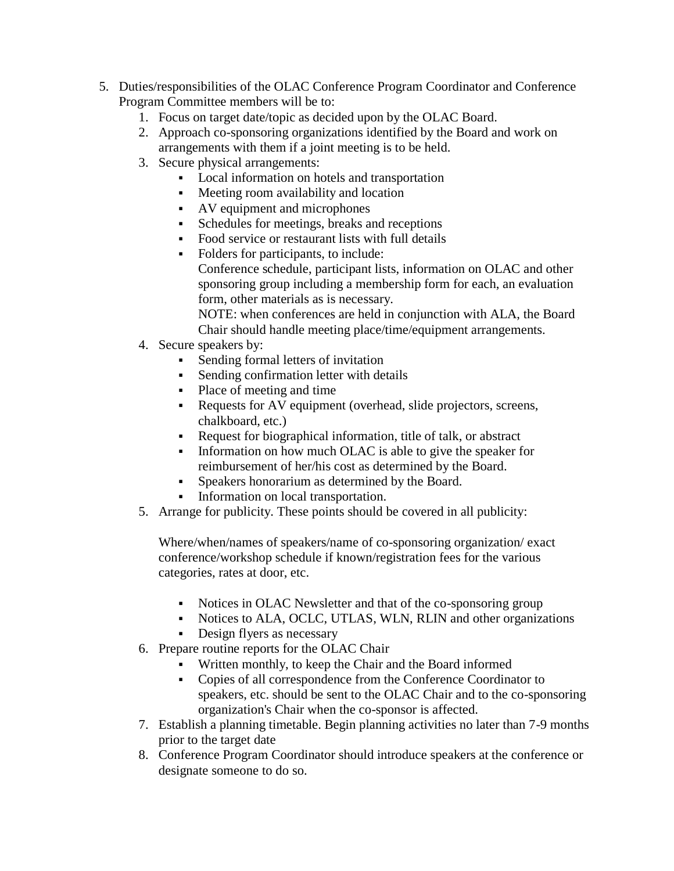- 5. Duties/responsibilities of the OLAC Conference Program Coordinator and Conference Program Committee members will be to:
	- 1. Focus on target date/topic as decided upon by the OLAC Board.
	- 2. Approach co-sponsoring organizations identified by the Board and work on arrangements with them if a joint meeting is to be held.
	- 3. Secure physical arrangements:
		- Local information on hotels and transportation
		- Meeting room availability and location
		- AV equipment and microphones
		- Schedules for meetings, breaks and receptions
		- Food service or restaurant lists with full details
		- Folders for participants, to include: Conference schedule, participant lists, information on OLAC and other sponsoring group including a membership form for each, an evaluation form, other materials as is necessary. NOTE: when conferences are held in conjunction with ALA, the Board

Chair should handle meeting place/time/equipment arrangements.

- 4. Secure speakers by:
	- Sending formal letters of invitation
	- Sending confirmation letter with details
	- Place of meeting and time
	- Requests for AV equipment (overhead, slide projectors, screens, chalkboard, etc.)
	- Request for biographical information, title of talk, or abstract
	- Information on how much OLAC is able to give the speaker for reimbursement of her/his cost as determined by the Board.
	- Speakers honorarium as determined by the Board.
	- Information on local transportation.
- 5. Arrange for publicity. These points should be covered in all publicity:

Where/when/names of speakers/name of co-sponsoring organization/ exact conference/workshop schedule if known/registration fees for the various categories, rates at door, etc.

- Notices in OLAC Newsletter and that of the co-sponsoring group
- Notices to ALA, OCLC, UTLAS, WLN, RLIN and other organizations
- Design flyers as necessary
- 6. Prepare routine reports for the OLAC Chair
	- Written monthly, to keep the Chair and the Board informed
	- Copies of all correspondence from the Conference Coordinator to speakers, etc. should be sent to the OLAC Chair and to the co-sponsoring organization's Chair when the co-sponsor is affected.
- 7. Establish a planning timetable. Begin planning activities no later than 7-9 months prior to the target date
- 8. Conference Program Coordinator should introduce speakers at the conference or designate someone to do so.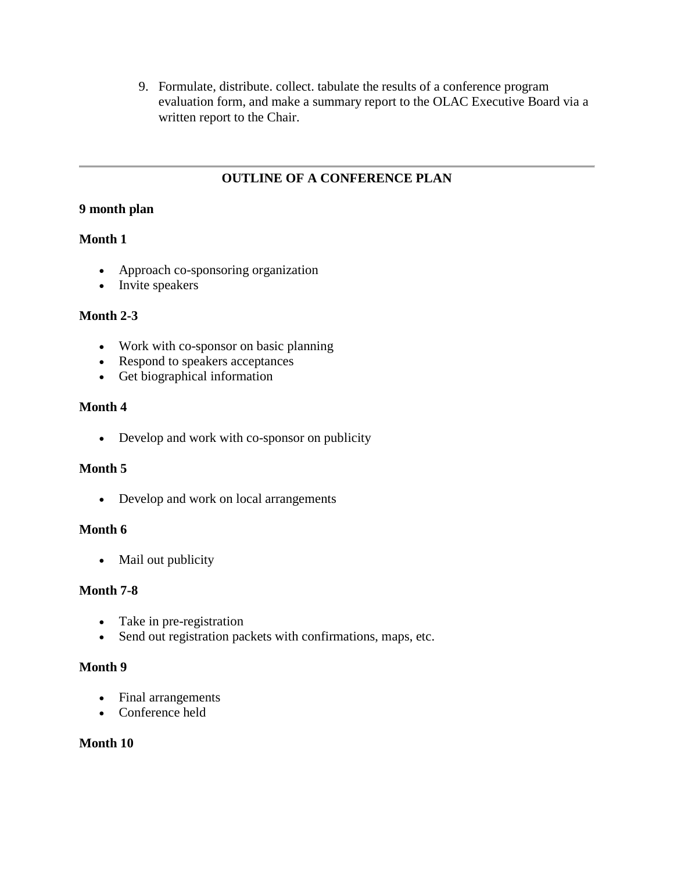9. Formulate, distribute. collect. tabulate the results of a conference program evaluation form, and make a summary report to the OLAC Executive Board via a written report to the Chair.

# **OUTLINE OF A CONFERENCE PLAN**

### **9 month plan**

### **Month 1**

- Approach co-sponsoring organization
- Invite speakers

### **Month 2-3**

- Work with co-sponsor on basic planning
- Respond to speakers acceptances
- Get biographical information

### **Month 4**

Develop and work with co-sponsor on publicity

### **Month 5**

• Develop and work on local arrangements

### **Month 6**

• Mail out publicity

### **Month 7-8**

- Take in pre-registration
- Send out registration packets with confirmations, maps, etc.

### **Month 9**

- Final arrangements
- Conference held

### **Month 10**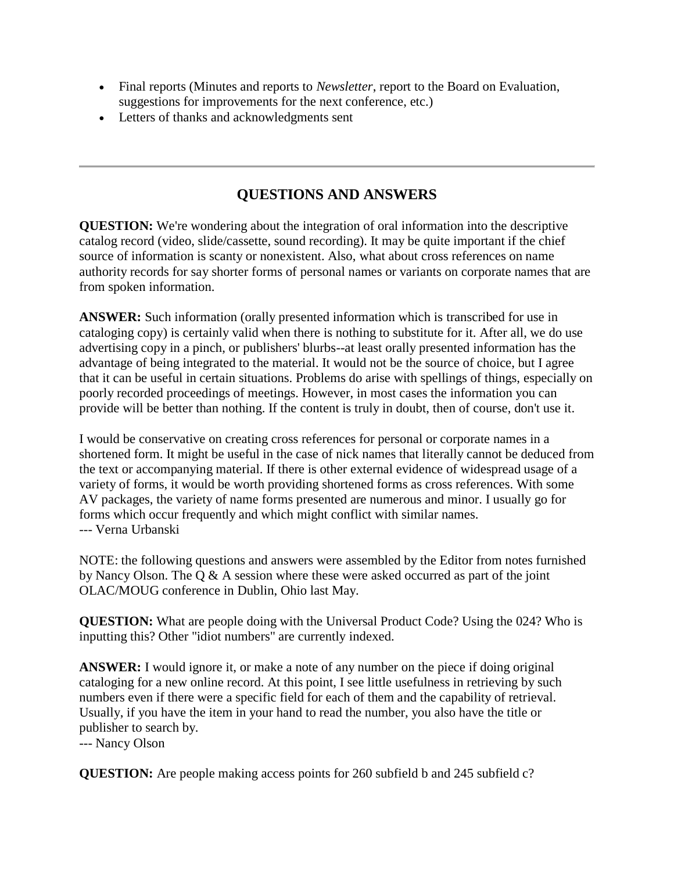- Final reports (Minutes and reports to *Newsletter*, report to the Board on Evaluation, suggestions for improvements for the next conference, etc.)
- Letters of thanks and acknowledgments sent

# **QUESTIONS AND ANSWERS**

**QUESTION:** We're wondering about the integration of oral information into the descriptive catalog record (video, slide/cassette, sound recording). It may be quite important if the chief source of information is scanty or nonexistent. Also, what about cross references on name authority records for say shorter forms of personal names or variants on corporate names that are from spoken information.

**ANSWER:** Such information (orally presented information which is transcribed for use in cataloging copy) is certainly valid when there is nothing to substitute for it. After all, we do use advertising copy in a pinch, or publishers' blurbs--at least orally presented information has the advantage of being integrated to the material. It would not be the source of choice, but I agree that it can be useful in certain situations. Problems do arise with spellings of things, especially on poorly recorded proceedings of meetings. However, in most cases the information you can provide will be better than nothing. If the content is truly in doubt, then of course, don't use it.

I would be conservative on creating cross references for personal or corporate names in a shortened form. It might be useful in the case of nick names that literally cannot be deduced from the text or accompanying material. If there is other external evidence of widespread usage of a variety of forms, it would be worth providing shortened forms as cross references. With some AV packages, the variety of name forms presented are numerous and minor. I usually go for forms which occur frequently and which might conflict with similar names. --- Verna Urbanski

NOTE: the following questions and answers were assembled by the Editor from notes furnished by Nancy Olson. The Q & A session where these were asked occurred as part of the joint OLAC/MOUG conference in Dublin, Ohio last May.

**QUESTION:** What are people doing with the Universal Product Code? Using the 024? Who is inputting this? Other "idiot numbers" are currently indexed.

**ANSWER:** I would ignore it, or make a note of any number on the piece if doing original cataloging for a new online record. At this point, I see little usefulness in retrieving by such numbers even if there were a specific field for each of them and the capability of retrieval. Usually, if you have the item in your hand to read the number, you also have the title or publisher to search by.

--- Nancy Olson

**QUESTION:** Are people making access points for 260 subfield b and 245 subfield c?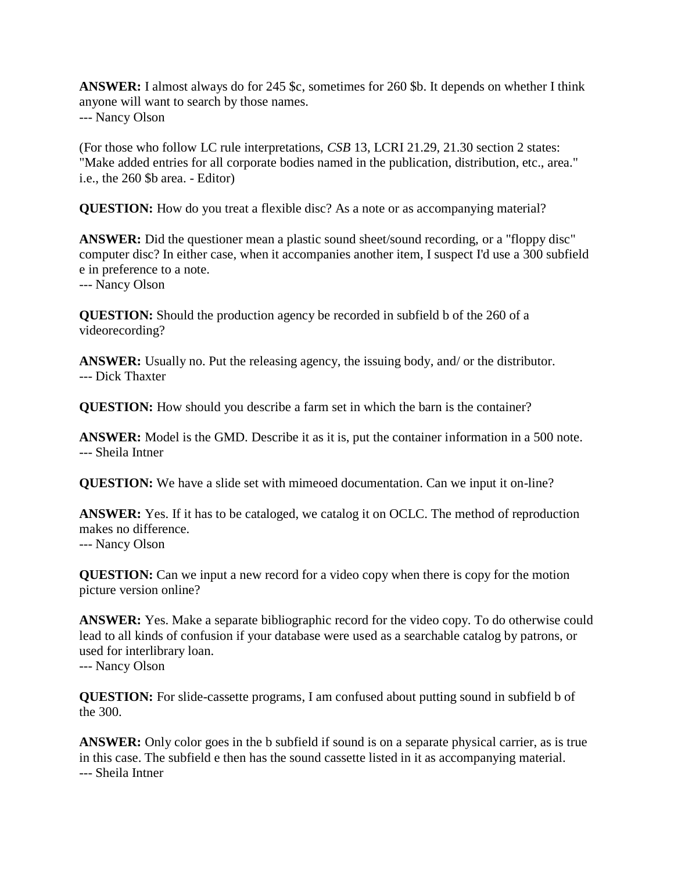**ANSWER:** I almost always do for 245 \$c, sometimes for 260 \$b. It depends on whether I think anyone will want to search by those names. --- Nancy Olson

(For those who follow LC rule interpretations, *CSB* 13, LCRI 21.29, 21.30 section 2 states: "Make added entries for all corporate bodies named in the publication, distribution, etc., area." i.e., the 260 \$b area. - Editor)

**QUESTION:** How do you treat a flexible disc? As a note or as accompanying material?

**ANSWER:** Did the questioner mean a plastic sound sheet/sound recording, or a "floppy disc" computer disc? In either case, when it accompanies another item, I suspect I'd use a 300 subfield e in preference to a note. --- Nancy Olson

**QUESTION:** Should the production agency be recorded in subfield b of the 260 of a videorecording?

**ANSWER:** Usually no. Put the releasing agency, the issuing body, and/ or the distributor. --- Dick Thaxter

**QUESTION:** How should you describe a farm set in which the barn is the container?

**ANSWER:** Model is the GMD. Describe it as it is, put the container information in a 500 note. --- Sheila Intner

**QUESTION:** We have a slide set with mimeoed documentation. Can we input it on-line?

ANSWER: Yes. If it has to be cataloged, we catalog it on OCLC. The method of reproduction makes no difference. --- Nancy Olson

**QUESTION:** Can we input a new record for a video copy when there is copy for the motion picture version online?

**ANSWER:** Yes. Make a separate bibliographic record for the video copy. To do otherwise could lead to all kinds of confusion if your database were used as a searchable catalog by patrons, or used for interlibrary loan. --- Nancy Olson

**QUESTION:** For slide-cassette programs, I am confused about putting sound in subfield b of the 300.

**ANSWER:** Only color goes in the b subfield if sound is on a separate physical carrier, as is true in this case. The subfield e then has the sound cassette listed in it as accompanying material. --- Sheila Intner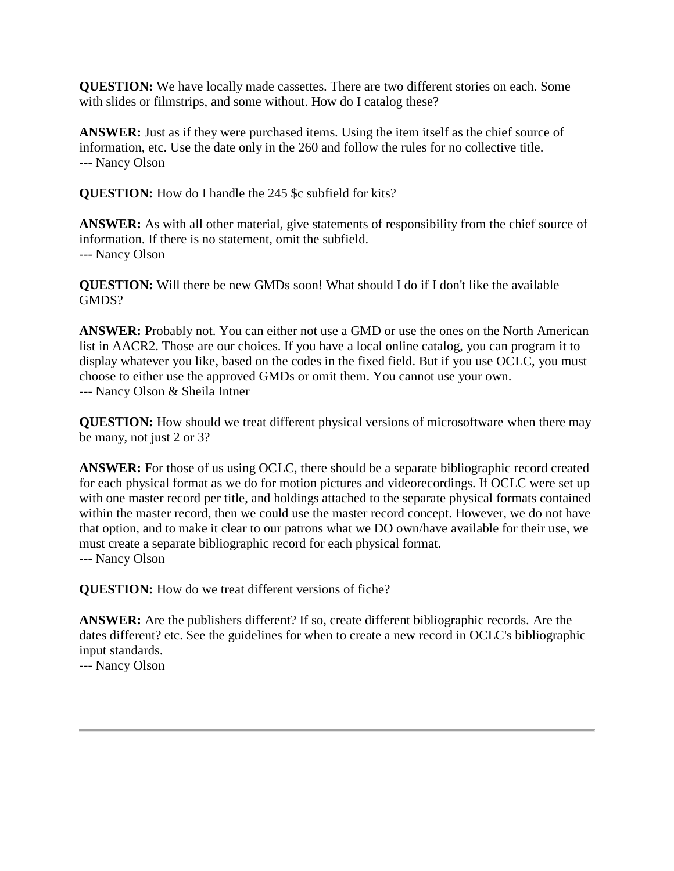**QUESTION:** We have locally made cassettes. There are two different stories on each. Some with slides or filmstrips, and some without. How do I catalog these?

ANSWER: Just as if they were purchased items. Using the item itself as the chief source of information, etc. Use the date only in the 260 and follow the rules for no collective title. --- Nancy Olson

**QUESTION:** How do I handle the 245 \$c subfield for kits?

**ANSWER:** As with all other material, give statements of responsibility from the chief source of information. If there is no statement, omit the subfield. --- Nancy Olson

**QUESTION:** Will there be new GMDs soon! What should I do if I don't like the available GMDS?

**ANSWER:** Probably not. You can either not use a GMD or use the ones on the North American list in AACR2. Those are our choices. If you have a local online catalog, you can program it to display whatever you like, based on the codes in the fixed field. But if you use OCLC, you must choose to either use the approved GMDs or omit them. You cannot use your own. --- Nancy Olson & Sheila Intner

**QUESTION:** How should we treat different physical versions of microsoftware when there may be many, not just 2 or 3?

**ANSWER:** For those of us using OCLC, there should be a separate bibliographic record created for each physical format as we do for motion pictures and videorecordings. If OCLC were set up with one master record per title, and holdings attached to the separate physical formats contained within the master record, then we could use the master record concept. However, we do not have that option, and to make it clear to our patrons what we DO own/have available for their use, we must create a separate bibliographic record for each physical format. --- Nancy Olson

**QUESTION:** How do we treat different versions of fiche?

**ANSWER:** Are the publishers different? If so, create different bibliographic records. Are the dates different? etc. See the guidelines for when to create a new record in OCLC's bibliographic input standards.

--- Nancy Olson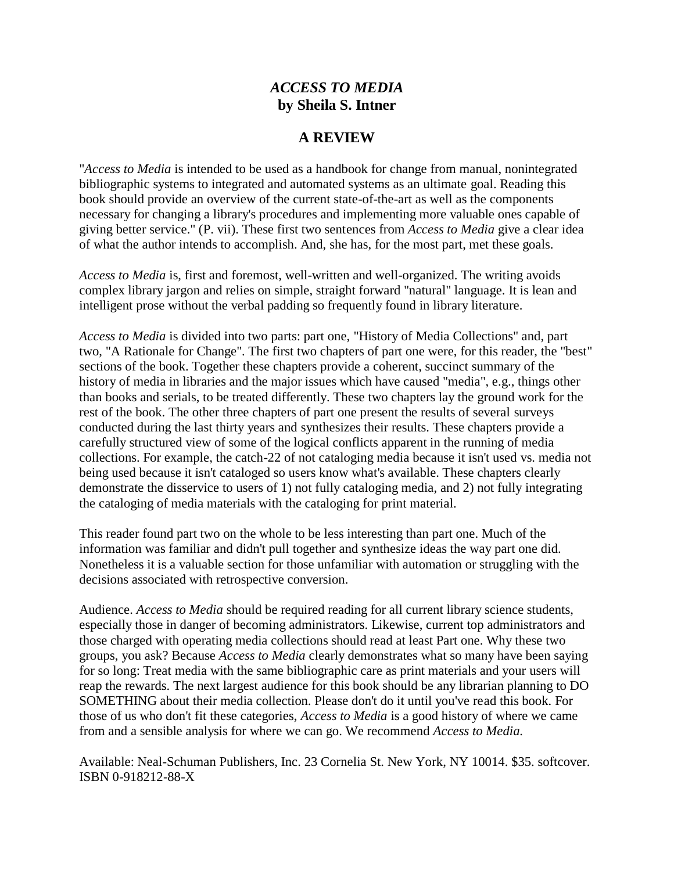# *ACCESS TO MEDIA* **by Sheila S. Intner**

### **A REVIEW**

"*Access to Media* is intended to be used as a handbook for change from manual, nonintegrated bibliographic systems to integrated and automated systems as an ultimate goal. Reading this book should provide an overview of the current state-of-the-art as well as the components necessary for changing a library's procedures and implementing more valuable ones capable of giving better service." (P. vii). These first two sentences from *Access to Media* give a clear idea of what the author intends to accomplish. And, she has, for the most part, met these goals.

*Access to Media* is, first and foremost, well-written and well-organized. The writing avoids complex library jargon and relies on simple, straight forward "natural" language. It is lean and intelligent prose without the verbal padding so frequently found in library literature.

*Access to Media* is divided into two parts: part one, "History of Media Collections" and, part two, "A Rationale for Change". The first two chapters of part one were, for this reader, the "best" sections of the book. Together these chapters provide a coherent, succinct summary of the history of media in libraries and the major issues which have caused "media", e.g., things other than books and serials, to be treated differently. These two chapters lay the ground work for the rest of the book. The other three chapters of part one present the results of several surveys conducted during the last thirty years and synthesizes their results. These chapters provide a carefully structured view of some of the logical conflicts apparent in the running of media collections. For example, the catch-22 of not cataloging media because it isn't used vs. media not being used because it isn't cataloged so users know what's available. These chapters clearly demonstrate the disservice to users of 1) not fully cataloging media, and 2) not fully integrating the cataloging of media materials with the cataloging for print material.

This reader found part two on the whole to be less interesting than part one. Much of the information was familiar and didn't pull together and synthesize ideas the way part one did. Nonetheless it is a valuable section for those unfamiliar with automation or struggling with the decisions associated with retrospective conversion.

Audience. *Access to Media* should be required reading for all current library science students, especially those in danger of becoming administrators. Likewise, current top administrators and those charged with operating media collections should read at least Part one. Why these two groups, you ask? Because *Access to Media* clearly demonstrates what so many have been saying for so long: Treat media with the same bibliographic care as print materials and your users will reap the rewards. The next largest audience for this book should be any librarian planning to DO SOMETHING about their media collection. Please don't do it until you've read this book. For those of us who don't fit these categories, *Access to Media* is a good history of where we came from and a sensible analysis for where we can go. We recommend *Access to Media.*

Available: Neal-Schuman Publishers, Inc. 23 Cornelia St. New York, NY 10014. \$35. softcover. ISBN 0-918212-88-X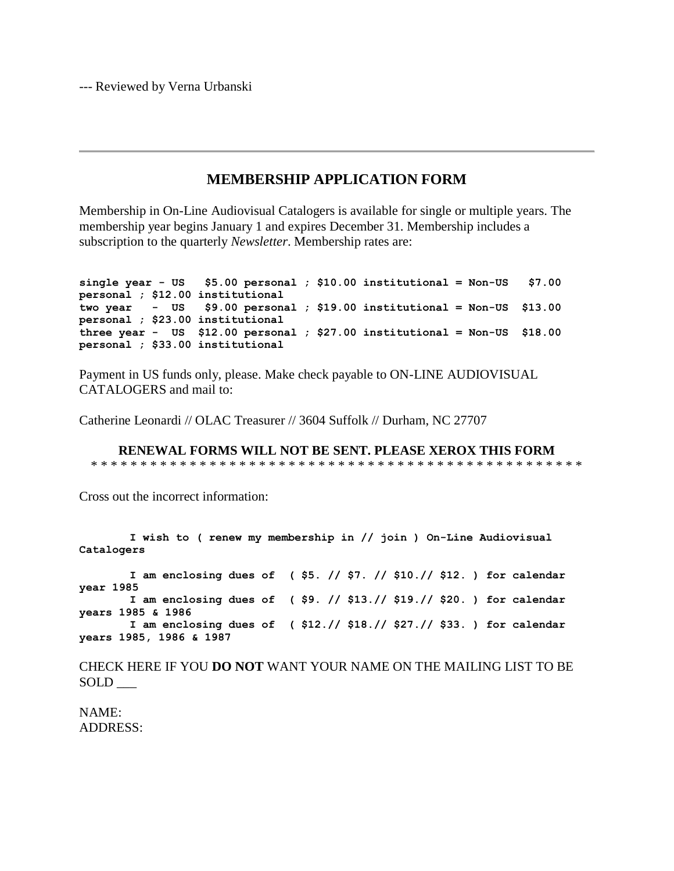--- Reviewed by Verna Urbanski

### **MEMBERSHIP APPLICATION FORM**

Membership in On-Line Audiovisual Catalogers is available for single or multiple years. The membership year begins January 1 and expires December 31. Membership includes a subscription to the quarterly *Newsletter*. Membership rates are:

```
single year - US $5.00 personal ; $10.00 institutional = Non-US $7.00 
personal ; $12.00 institutional
two year - US $9.00 personal ; $19.00 institutional = Non-US $13.00 
personal ; $23.00 institutional 
three year - US $12.00 personal ; $27.00 institutional = Non-US $18.00 
personal ; $33.00 institutional
```
Payment in US funds only, please. Make check payable to ON-LINE AUDIOVISUAL CATALOGERS and mail to:

Catherine Leonardi // OLAC Treasurer // 3604 Suffolk // Durham, NC 27707

**RENEWAL FORMS WILL NOT BE SENT. PLEASE XEROX THIS FORM** \* \* \* \* \* \* \* \* \* \* \* \* \* \* \* \* \* \* \* \* \* \* \* \* \* \* \* \* \* \* \* \* \* \* \* \* \* \* \* \* \* \* \* \* \* \* \* \* \* \*

Cross out the incorrect information:

**I wish to ( renew my membership in // join ) On-Line Audiovisual Catalogers I am enclosing dues of ( \$5. // \$7. // \$10.// \$12. ) for calendar year 1985 I am enclosing dues of ( \$9. // \$13.// \$19.// \$20. ) for calendar years 1985 & 1986 I am enclosing dues of ( \$12.// \$18.// \$27.// \$33. ) for calendar years 1985, 1986 & 1987**

CHECK HERE IF YOU **DO NOT** WANT YOUR NAME ON THE MAILING LIST TO BE SOLD \_\_\_

NAME: ADDRESS: